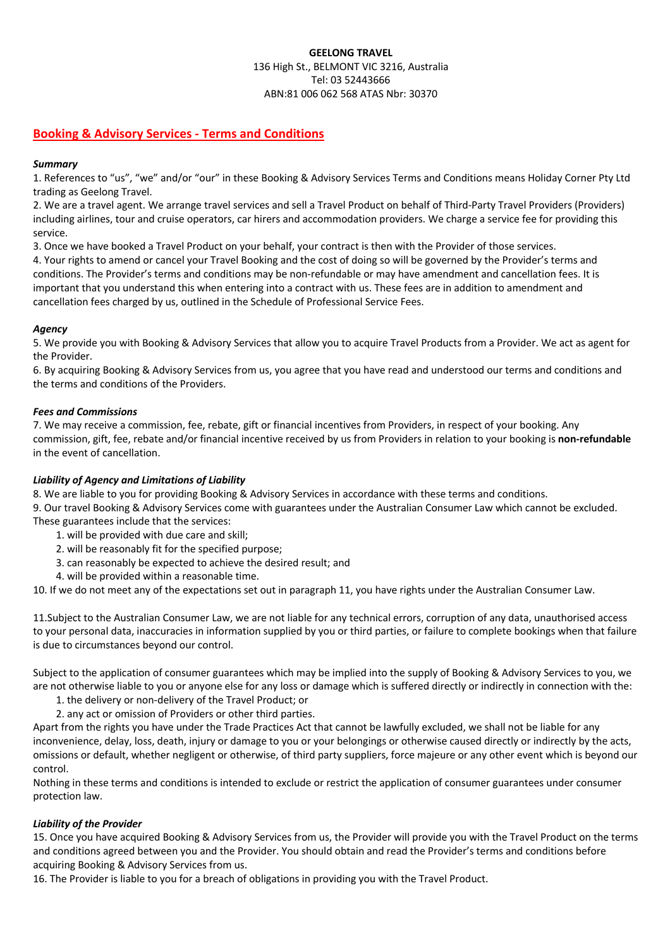# **GEELONG TRAVEL** 136 High St., BELMONT VIC 3216, Australia Tel: 03 52443666 ABN:81 006 062 568 ATAS Nbr: 30370

# **Booking & Advisory Services - Terms and Conditions**

# *Summary*

1. References to "us", "we" and/or "our" in these Booking & Advisory Services Terms and Conditions means Holiday Corner Pty Ltd trading as Geelong Travel.

2. We are a travel agent. We arrange travel services and sell a Travel Product on behalf of Third-Party Travel Providers (Providers) including airlines, tour and cruise operators, car hirers and accommodation providers. We charge a service fee for providing this service.

3. Once we have booked a Travel Product on your behalf, your contract is then with the Provider of those services.

4. Your rights to amend or cancel your Travel Booking and the cost of doing so will be governed by the Provider's terms and conditions. The Provider's terms and conditions may be non-refundable or may have amendment and cancellation fees. It is important that you understand this when entering into a contract with us. These fees are in addition to amendment and cancellation fees charged by us, outlined in the Schedule of Professional Service Fees.

## *Agency*

5. We provide you with Booking & Advisory Services that allow you to acquire Travel Products from a Provider. We act as agent for the Provider.

6. By acquiring Booking & Advisory Services from us, you agree that you have read and understood our terms and conditions and the terms and conditions of the Providers.

## *Fees and Commissions*

7. We may receive a commission, fee, rebate, gift or financial incentives from Providers, in respect of your booking. Any commission, gift, fee, rebate and/or financial incentive received by us from Providers in relation to your booking is **non-refundable** in the event of cancellation.

# *Liability of Agency and Limitations of Liability*

8. We are liable to you for providing Booking & Advisory Services in accordance with these terms and conditions.

9. Our travel Booking & Advisory Services come with guarantees under the Australian Consumer Law which cannot be excluded.

These guarantees include that the services:

- 1. will be provided with due care and skill;
- 2. will be reasonably fit for the specified purpose;
- 3. can reasonably be expected to achieve the desired result; and
- 4. will be provided within a reasonable time.

10. If we do not meet any of the expectations set out in paragraph 11, you have rights under the Australian Consumer Law.

11.Subject to the Australian Consumer Law, we are not liable for any technical errors, corruption of any data, unauthorised access to your personal data, inaccuracies in information supplied by you or third parties, or failure to complete bookings when that failure is due to circumstances beyond our control.

Subject to the application of consumer guarantees which may be implied into the supply of Booking & Advisory Services to you, we are not otherwise liable to you or anyone else for any loss or damage which is suffered directly or indirectly in connection with the:

- 1. the delivery or non-delivery of the Travel Product; or
- 2. any act or omission of Providers or other third parties.

Apart from the rights you have under the Trade Practices Act that cannot be lawfully excluded, we shall not be liable for any inconvenience, delay, loss, death, injury or damage to you or your belongings or otherwise caused directly or indirectly by the acts, omissions or default, whether negligent or otherwise, of third party suppliers, force majeure or any other event which is beyond our control.

Nothing in these terms and conditions is intended to exclude or restrict the application of consumer guarantees under consumer protection law.

# *Liability of the Provider*

15. Once you have acquired Booking & Advisory Services from us, the Provider will provide you with the Travel Product on the terms and conditions agreed between you and the Provider. You should obtain and read the Provider's terms and conditions before acquiring Booking & Advisory Services from us.

16. The Provider is liable to you for a breach of obligations in providing you with the Travel Product.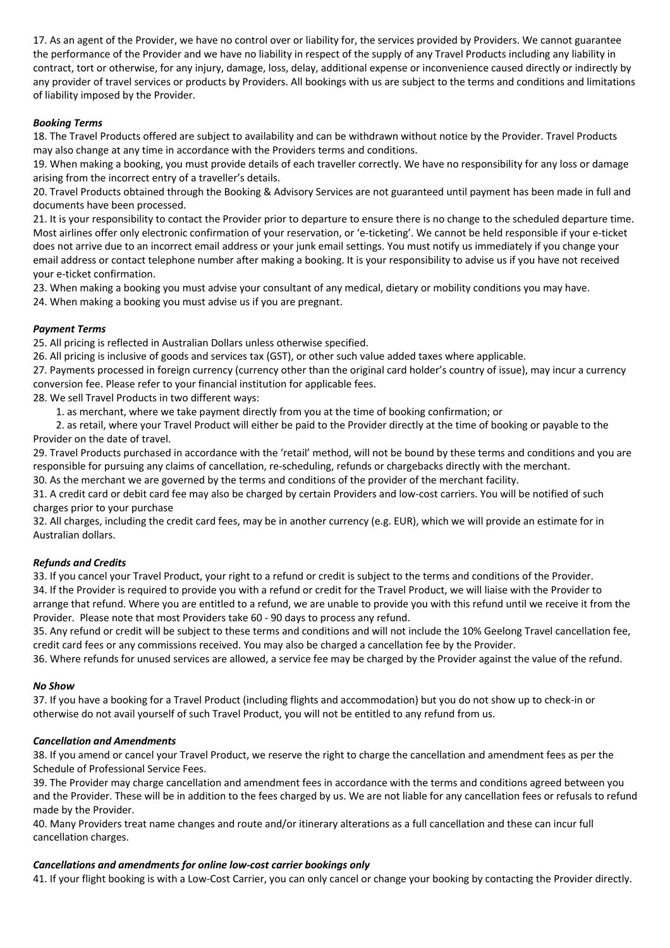17. As an agent of the Provider, we have no control over or liability for, the services provided by Providers. We cannot guarantee the performance of the Provider and we have no liability in respect of the supply of any Travel Products including any liability in contract, tort or otherwise, for any injury, damage, loss, delay, additional expense or inconvenience caused directly or indirectly by any provider of travel services or products by Providers. All bookings with us are subject to the terms and conditions and limitations of liability imposed by the Provider.

# *Booking Terms*

18. The Travel Products offered are subject to availability and can be withdrawn without notice by the Provider. Travel Products may also change at any time in accordance with the Providers terms and conditions.

19. When making a booking, you must provide details of each traveller correctly. We have no responsibility for any loss or damage arising from the incorrect entry of a traveller's details.

20. Travel Products obtained through the Booking & Advisory Services are not guaranteed until payment has been made in full and documents have been processed.

21. It is your responsibility to contact the Provider prior to departure to ensure there is no change to the scheduled departure time. Most airlines offer only electronic confirmation of your reservation, or 'e-ticketing'. We cannot be held responsible if your e-ticket does not arrive due to an incorrect email address or your junk email settings. You must notify us immediately if you change your email address or contact telephone number after making a booking. It is your responsibility to advise us if you have not received your e-ticket confirmation.

23. When making a booking you must advise your consultant of any medical, dietary or mobility conditions you may have.

24. When making a booking you must advise us if you are pregnant.

# *Payment Terms*

25. All pricing is reflected in Australian Dollars unless otherwise specified.

26. All pricing is inclusive of goods and services tax (GST), or other such value added taxes where applicable.

27. Payments processed in foreign currency (currency other than the original card holder's country of issue), may incur a currency conversion fee. Please refer to your financial institution for applicable fees.

28. We sell Travel Products in two different ways:

1. as merchant, where we take payment directly from you at the time of booking confirmation; or

 2. as retail, where your Travel Product will either be paid to the Provider directly at the time of booking or payable to the Provider on the date of travel.

29. Travel Products purchased in accordance with the 'retail' method, will not be bound by these terms and conditions and you are responsible for pursuing any claims of cancellation, re-scheduling, refunds or chargebacks directly with the merchant.

30. As the merchant we are governed by the terms and conditions of the provider of the merchant facility.

31. A credit card or debit card fee may also be charged by certain Providers and low-cost carriers. You will be notified of such charges prior to your purchase

32. All charges, including the credit card fees, may be in another currency (e.g. EUR), which we will provide an estimate for in Australian dollars.

# *Refunds and Credits*

33. If you cancel your Travel Product, your right to a refund or credit is subject to the terms and conditions of the Provider. 34. If the Provider is required to provide you with a refund or credit for the Travel Product, we will liaise with the Provider to arrange that refund. Where you are entitled to a refund, we are unable to provide you with this refund until we receive it from the Provider. Please note that most Providers take 60 - 90 days to process any refund.

35. Any refund or credit will be subject to these terms and conditions and will not include the 10% Geelong Travel cancellation fee, credit card fees or any commissions received. You may also be charged a cancellation fee by the Provider.

36. Where refunds for unused services are allowed, a service fee may be charged by the Provider against the value of the refund.

# *No Show*

37. If you have a booking for a Travel Product (including flights and accommodation) but you do not show up to check-in or otherwise do not avail yourself of such Travel Product, you will not be entitled to any refund from us.

# *Cancellation and Amendments*

38. If you amend or cancel your Travel Product, we reserve the right to charge the cancellation and amendment fees as per the Schedule of Professional Service Fees.

39. The Provider may charge cancellation and amendment fees in accordance with the terms and conditions agreed between you and the Provider. These will be in addition to the fees charged by us. We are not liable for any cancellation fees or refusals to refund made by the Provider.

40. Many Providers treat name changes and route and/or itinerary alterations as a full cancellation and these can incur full cancellation charges.

# *Cancellations and amendments for online low-cost carrier bookings only*

41. If your flight booking is with a Low-Cost Carrier, you can only cancel or change your booking by contacting the Provider directly.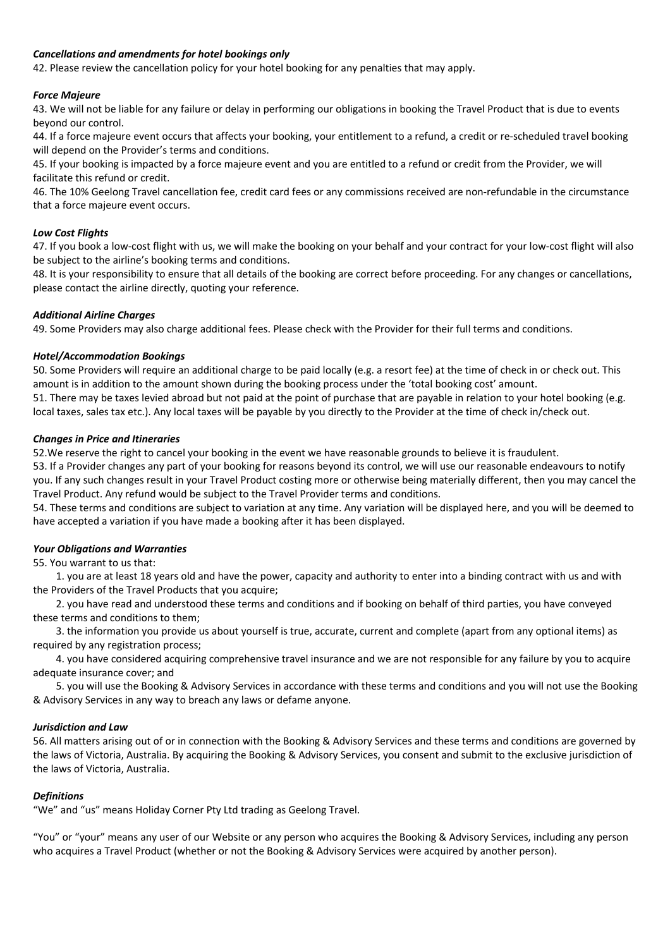## *Cancellations and amendments for hotel bookings only*

42. Please review the cancellation policy for your hotel booking for any penalties that may apply.

### *Force Majeure*

43. We will not be liable for any failure or delay in performing our obligations in booking the Travel Product that is due to events beyond our control.

44. If a force majeure event occurs that affects your booking, your entitlement to a refund, a credit or re-scheduled travel booking will depend on the Provider's terms and conditions.

45. If your booking is impacted by a force majeure event and you are entitled to a refund or credit from the Provider, we will facilitate this refund or credit.

46. The 10% Geelong Travel cancellation fee, credit card fees or any commissions received are non-refundable in the circumstance that a force majeure event occurs.

#### *Low Cost Flights*

47. If you book a low-cost flight with us, we will make the booking on your behalf and your contract for your low-cost flight will also be subject to the airline's booking terms and conditions.

48. It is your responsibility to ensure that all details of the booking are correct before proceeding. For any changes or cancellations, please contact the airline directly, quoting your reference.

#### *Additional Airline Charges*

49. Some Providers may also charge additional fees. Please check with the Provider for their full terms and conditions.

#### *Hotel/Accommodation Bookings*

50. Some Providers will require an additional charge to be paid locally (e.g. a resort fee) at the time of check in or check out. This amount is in addition to the amount shown during the booking process under the 'total booking cost' amount. 51. There may be taxes levied abroad but not paid at the point of purchase that are payable in relation to your hotel booking (e.g. local taxes, sales tax etc.). Any local taxes will be payable by you directly to the Provider at the time of check in/check out.

#### *Changes in Price and Itineraries*

52.We reserve the right to cancel your booking in the event we have reasonable grounds to believe it is fraudulent.

53. If a Provider changes any part of your booking for reasons beyond its control, we will use our reasonable endeavours to notify you. If any such changes result in your Travel Product costing more or otherwise being materially different, then you may cancel the Travel Product. Any refund would be subject to the Travel Provider terms and conditions.

54. These terms and conditions are subject to variation at any time. Any variation will be displayed here, and you will be deemed to have accepted a variation if you have made a booking after it has been displayed.

## *Your Obligations and Warranties*

55. You warrant to us that:

 1. you are at least 18 years old and have the power, capacity and authority to enter into a binding contract with us and with the Providers of the Travel Products that you acquire;

 2. you have read and understood these terms and conditions and if booking on behalf of third parties, you have conveyed these terms and conditions to them;

 3. the information you provide us about yourself is true, accurate, current and complete (apart from any optional items) as required by any registration process;

 4. you have considered acquiring comprehensive travel insurance and we are not responsible for any failure by you to acquire adequate insurance cover; and

 5. you will use the Booking & Advisory Services in accordance with these terms and conditions and you will not use the Booking & Advisory Services in any way to breach any laws or defame anyone.

## *Jurisdiction and Law*

56. All matters arising out of or in connection with the Booking & Advisory Services and these terms and conditions are governed by the laws of Victoria, Australia. By acquiring the Booking & Advisory Services, you consent and submit to the exclusive jurisdiction of the laws of Victoria, Australia.

## *Definitions*

"We" and "us" means Holiday Corner Pty Ltd trading as Geelong Travel.

"You" or "your" means any user of our Website or any person who acquires the Booking & Advisory Services, including any person who acquires a Travel Product (whether or not the Booking & Advisory Services were acquired by another person).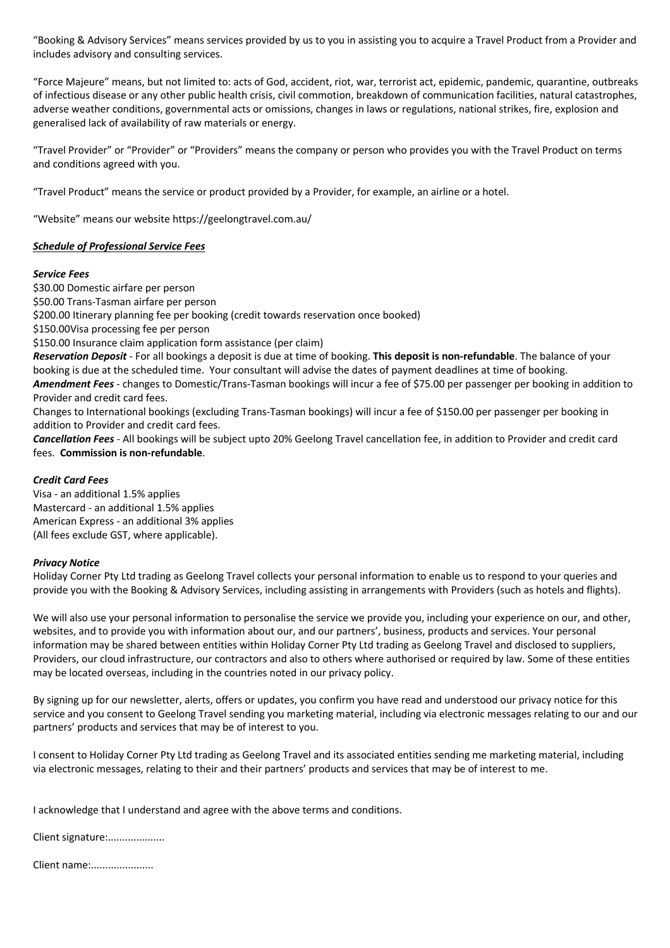"Booking & Advisory Services" means services provided by us to you in assisting you to acquire a Travel Product from a Provider and includes advisory and consulting services.

"Force Majeure" means, but not limited to: acts of God, accident, riot, war, terrorist act, epidemic, pandemic, quarantine, outbreaks of infectious disease or any other public health crisis, civil commotion, breakdown of communication facilities, natural catastrophes, adverse weather conditions, governmental acts or omissions, changes in laws or regulations, national strikes, fire, explosion and generalised lack of availability of raw materials or energy.

"Travel Provider" or "Provider" or "Providers" means the company or person who provides you with the Travel Product on terms and conditions agreed with you.

"Travel Product" means the service or product provided by a Provider, for example, an airline or a hotel.

"Website" means our website https://geelongtravel.com.au/

## *Schedule of Professional Service Fees*

#### *Service Fees*

\$30.00 Domestic airfare per person

\$50.00 Trans-Tasman airfare per person

\$200.00 Itinerary planning fee per booking (credit towards reservation once booked)

\$150.00Visa processing fee per person

\$150.00 Insurance claim application form assistance (per claim)

*Reservation Deposit* - For all bookings a deposit is due at time of booking. **This deposit is non-refundable**. The balance of your booking is due at the scheduled time. Your consultant will advise the dates of payment deadlines at time of booking. *Amendment Fees* - changes to Domestic/Trans-Tasman bookings will incur a fee of \$75.00 per passenger per booking in addition to Provider and credit card fees.

Changes to International bookings (excluding Trans-Tasman bookings) will incur a fee of \$150.00 per passenger per booking in addition to Provider and credit card fees.

*Cancellation Fees* - All bookings will be subject upto 20% Geelong Travel cancellation fee, in addition to Provider and credit card fees. **Commission is non-refundable**.

## *Credit Card Fees*

Visa - an additional 1.5% applies Mastercard - an additional 1.5% applies American Express - an additional 3% applies (All fees exclude GST, where applicable).

## *Privacy Notice*

Holiday Corner Pty Ltd trading as Geelong Travel collects your personal information to enable us to respond to your queries and provide you with the Booking & Advisory Services, including assisting in arrangements with Providers (such as hotels and flights).

We will also use your personal information to personalise the service we provide you, including your experience on our, and other, websites, and to provide you with information about our, and our partners', business, products and services. Your personal information may be shared between entities within Holiday Corner Pty Ltd trading as Geelong Travel and disclosed to suppliers, Providers, our cloud infrastructure, our contractors and also to others where authorised or required by law. Some of these entities may be located overseas, including in the countries noted in our privacy policy.

By signing up for our newsletter, alerts, offers or updates, you confirm you have read and understood our privacy notice for this service and you consent to Geelong Travel sending you marketing material, including via electronic messages relating to our and our partners' products and services that may be of interest to you.

I consent to Holiday Corner Pty Ltd trading as Geelong Travel and its associated entities sending me marketing material, including via electronic messages, relating to their and their partners' products and services that may be of interest to me.

I acknowledge that I understand and agree with the above terms and conditions.

Client signature:....................

Client name:......................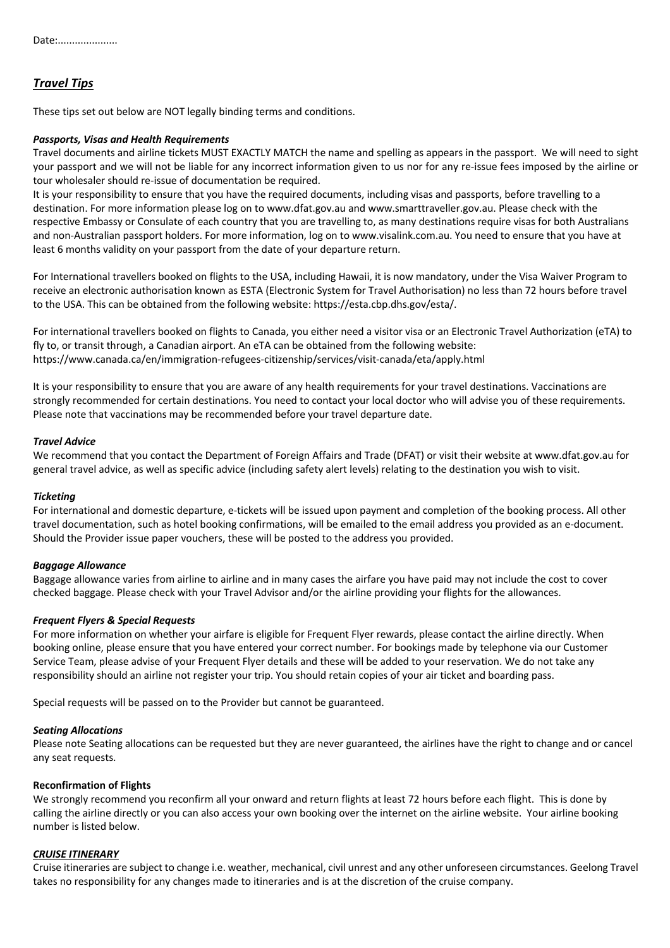# *Travel Tips*

These tips set out below are NOT legally binding terms and conditions.

#### *Passports, Visas and Health Requirements*

Travel documents and airline tickets MUST EXACTLY MATCH the name and spelling as appears in the passport. We will need to sight your passport and we will not be liable for any incorrect information given to us nor for any re-issue fees imposed by the airline or tour wholesaler should re-issue of documentation be required.

It is your responsibility to ensure that you have the required documents, including visas and passports, before travelling to a destination. For more information please log on to www.dfat.gov.au and www.smarttraveller.gov.au. Please check with the respective Embassy or Consulate of each country that you are travelling to, as many destinations require visas for both Australians and non-Australian passport holders. For more information, log on to www.visalink.com.au. You need to ensure that you have at least 6 months validity on your passport from the date of your departure return.

For International travellers booked on flights to the USA, including Hawaii, it is now mandatory, under the Visa Waiver Program to receive an electronic authorisation known as ESTA (Electronic System for Travel Authorisation) no less than 72 hours before travel to the USA. This can be obtained from the following website: https://esta.cbp.dhs.gov/esta/.

For international travellers booked on flights to Canada, you either need a visitor visa or an Electronic Travel Authorization (eTA) to fly to, or transit through, a Canadian airport. An eTA can be obtained from the following website: https://www.canada.ca/en/immigration-refugees-citizenship/services/visit-canada/eta/apply.html

It is your responsibility to ensure that you are aware of any health requirements for your travel destinations. Vaccinations are strongly recommended for certain destinations. You need to contact your local doctor who will advise you of these requirements. Please note that vaccinations may be recommended before your travel departure date.

#### *Travel Advice*

We recommend that you contact the Department of Foreign Affairs and Trade (DFAT) or visit their website at www.dfat.gov.au for general travel advice, as well as specific advice (including safety alert levels) relating to the destination you wish to visit.

#### *Ticketing*

For international and domestic departure, e-tickets will be issued upon payment and completion of the booking process. All other travel documentation, such as hotel booking confirmations, will be emailed to the email address you provided as an e-document. Should the Provider issue paper vouchers, these will be posted to the address you provided.

## *Baggage Allowance*

Baggage allowance varies from airline to airline and in many cases the airfare you have paid may not include the cost to cover checked baggage. Please check with your Travel Advisor and/or the airline providing your flights for the allowances.

#### *Frequent Flyers & Special Requests*

For more information on whether your airfare is eligible for Frequent Flyer rewards, please contact the airline directly. When booking online, please ensure that you have entered your correct number. For bookings made by telephone via our Customer Service Team, please advise of your Frequent Flyer details and these will be added to your reservation. We do not take any responsibility should an airline not register your trip. You should retain copies of your air ticket and boarding pass.

Special requests will be passed on to the Provider but cannot be guaranteed.

#### *Seating Allocations*

Please note Seating allocations can be requested but they are never guaranteed, the airlines have the right to change and or cancel any seat requests.

#### **Reconfirmation of Flights**

We strongly recommend you reconfirm all your onward and return flights at least 72 hours before each flight. This is done by calling the airline directly or you can also access your own booking over the internet on the airline website. Your airline booking number is listed below.

# *CRUISE ITINERARY*

Cruise itineraries are subject to change i.e. weather, mechanical, civil unrest and any other unforeseen circumstances. Geelong Travel takes no responsibility for any changes made to itineraries and is at the discretion of the cruise company.